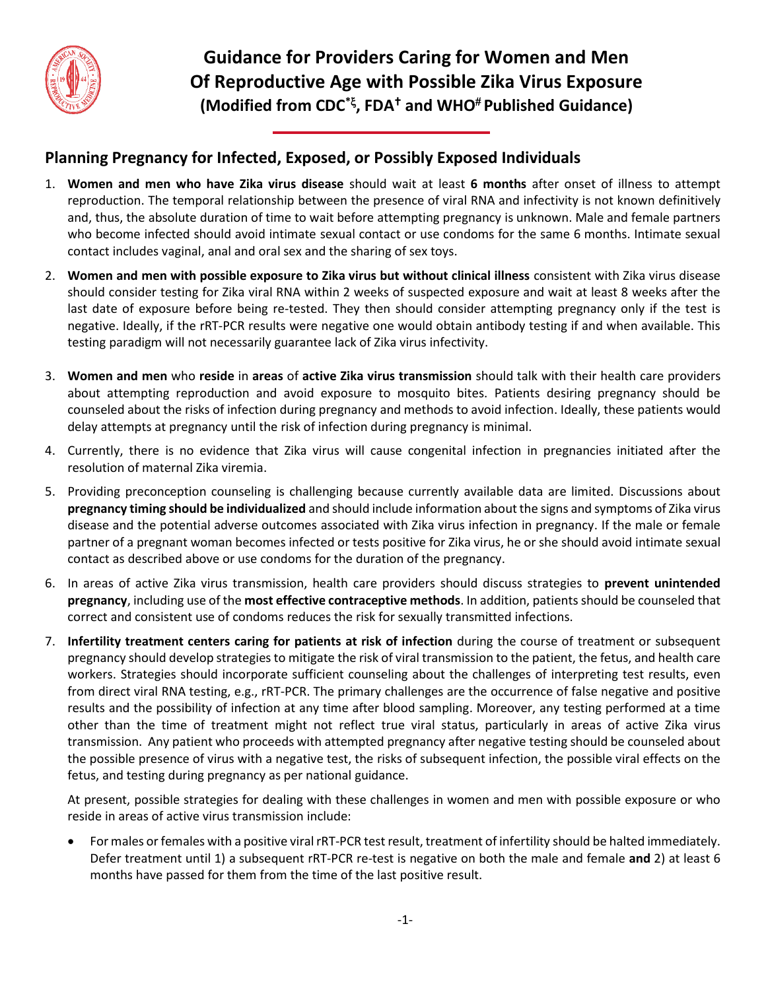

**Guidance for Providers Caring for Women and Men Of Reproductive Age with Possible Zika Virus Exposure (Modified from CDC\* , FDA and WHO Published Guidance)**

## **Planning Pregnancy for Infected, Exposed, or Possibly Exposed Individuals**

- 1. **Women and men who have Zika virus disease** should wait at least **6 months** after onset of illness to attempt reproduction. The temporal relationship between the presence of viral RNA and infectivity is not known definitively and, thus, the absolute duration of time to wait before attempting pregnancy is unknown. Male and female partners who become infected should avoid intimate sexual contact or use condoms for the same 6 months. Intimate sexual contact includes vaginal, anal and oral sex and the sharing of sex toys.
- 2. **Women and men with possible exposure to Zika virus but without clinical illness** consistent with Zika virus disease should consider testing for Zika viral RNA within 2 weeks of suspected exposure and wait at least 8 weeks after the last date of exposure before being re-tested. They then should consider attempting pregnancy only if the test is negative. Ideally, if the rRT-PCR results were negative one would obtain antibody testing if and when available. This testing paradigm will not necessarily guarantee lack of Zika virus infectivity.
- 3. **Women and men** who **reside** in **areas** of **active Zika virus transmission** should talk with their health care providers about attempting reproduction and avoid exposure to mosquito bites. Patients desiring pregnancy should be counseled about the risks of infection during pregnancy and methods to avoid infection. Ideally, these patients would delay attempts at pregnancy until the risk of infection during pregnancy is minimal.
- 4. Currently, there is no evidence that Zika virus will cause congenital infection in pregnancies initiated after the resolution of maternal Zika viremia.
- 5. Providing preconception counseling is challenging because currently available data are limited. Discussions about **pregnancy timing should be individualized** and should include information about the signs and symptoms of Zika virus disease and the potential adverse outcomes associated with Zika virus infection in pregnancy. If the male or female partner of a pregnant woman becomes infected or tests positive for Zika virus, he or she should avoid intimate sexual contact as described above or use condoms for the duration of the pregnancy.
- 6. In areas of active Zika virus transmission, health care providers should discuss strategies to **prevent unintended pregnancy**, including use of the **most effective contraceptive methods**. In addition, patients should be counseled that correct and consistent use of condoms reduces the risk for sexually transmitted infections.
- 7. **Infertility treatment centers caring for patients at risk of infection** during the course of treatment or subsequent pregnancy should develop strategies to mitigate the risk of viral transmission to the patient, the fetus, and health care workers. Strategies should incorporate sufficient counseling about the challenges of interpreting test results, even from direct viral RNA testing, e.g., rRT-PCR. The primary challenges are the occurrence of false negative and positive results and the possibility of infection at any time after blood sampling. Moreover, any testing performed at a time other than the time of treatment might not reflect true viral status, particularly in areas of active Zika virus transmission. Any patient who proceeds with attempted pregnancy after negative testing should be counseled about the possible presence of virus with a negative test, the risks of subsequent infection, the possible viral effects on the fetus, and testing during pregnancy as per national guidance.

At present, possible strategies for dealing with these challenges in women and men with possible exposure or who reside in areas of active virus transmission include:

 For males or females with a positive viral rRT-PCR test result, treatment of infertility should be halted immediately. Defer treatment until 1) a subsequent rRT-PCR re-test is negative on both the male and female **and** 2) at least 6 months have passed for them from the time of the last positive result.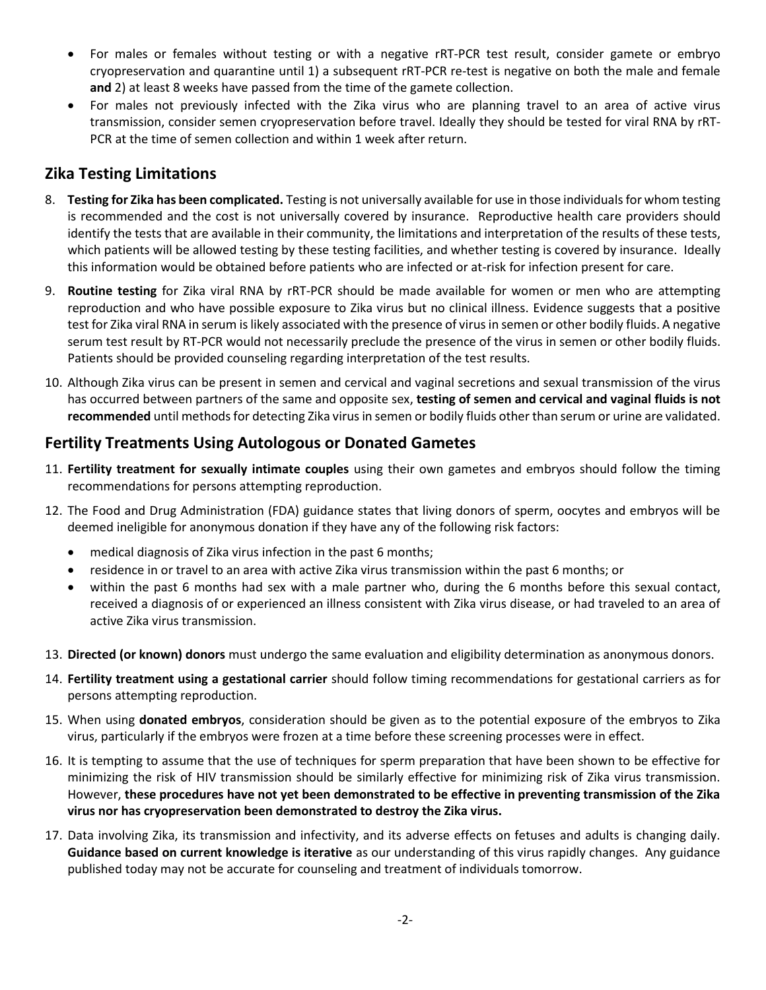- For males or females without testing or with a negative rRT-PCR test result, consider gamete or embryo cryopreservation and quarantine until 1) a subsequent rRT-PCR re-test is negative on both the male and female **and** 2) at least 8 weeks have passed from the time of the gamete collection.
- For males not previously infected with the Zika virus who are planning travel to an area of active virus transmission, consider semen cryopreservation before travel. Ideally they should be tested for viral RNA by rRT-PCR at the time of semen collection and within 1 week after return.

## **Zika Testing Limitations**

- 8. **Testing for Zika has been complicated.** Testing is not universally available for use in those individuals for whom testing is recommended and the cost is not universally covered by insurance. Reproductive health care providers should identify the tests that are available in their community, the limitations and interpretation of the results of these tests, which patients will be allowed testing by these testing facilities, and whether testing is covered by insurance. Ideally this information would be obtained before patients who are infected or at-risk for infection present for care.
- 9. **Routine testing** for Zika viral RNA by rRT-PCR should be made available for women or men who are attempting reproduction and who have possible exposure to Zika virus but no clinical illness. Evidence suggests that a positive test for Zika viral RNA in serum is likely associated with the presence of virus in semen or other bodily fluids. A negative serum test result by RT-PCR would not necessarily preclude the presence of the virus in semen or other bodily fluids. Patients should be provided counseling regarding interpretation of the test results.
- 10. Although Zika virus can be present in semen and cervical and vaginal secretions and sexual transmission of the virus has occurred between partners of the same and opposite sex, **testing of semen and cervical and vaginal fluids is not recommended** until methods for detecting Zika virus in semen or bodily fluids other than serum or urine are validated.

## **Fertility Treatments Using Autologous or Donated Gametes**

- 11. **Fertility treatment for sexually intimate couples** using their own gametes and embryos should follow the timing recommendations for persons attempting reproduction.
- 12. The Food and Drug Administration (FDA) guidance states that living donors of sperm, oocytes and embryos will be deemed ineligible for anonymous donation if they have any of the following risk factors:
	- medical diagnosis of Zika virus infection in the past 6 months;
	- residence in or travel to an area with active Zika virus transmission within the past 6 months; or
	- within the past 6 months had sex with a male partner who, during the 6 months before this sexual contact, received a diagnosis of or experienced an illness consistent with Zika virus disease, or had traveled to an area of active Zika virus transmission.
- 13. **Directed (or known) donors** must undergo the same evaluation and eligibility determination as anonymous donors.
- 14. **Fertility treatment using a gestational carrier** should follow timing recommendations for gestational carriers as for persons attempting reproduction.
- 15. When using **donated embryos**, consideration should be given as to the potential exposure of the embryos to Zika virus, particularly if the embryos were frozen at a time before these screening processes were in effect.
- 16. It is tempting to assume that the use of techniques for sperm preparation that have been shown to be effective for minimizing the risk of HIV transmission should be similarly effective for minimizing risk of Zika virus transmission. However, **these procedures have not yet been demonstrated to be effective in preventing transmission of the Zika virus nor has cryopreservation been demonstrated to destroy the Zika virus.**
- 17. Data involving Zika, its transmission and infectivity, and its adverse effects on fetuses and adults is changing daily. **Guidance based on current knowledge is iterative** as our understanding of this virus rapidly changes. Any guidance published today may not be accurate for counseling and treatment of individuals tomorrow.